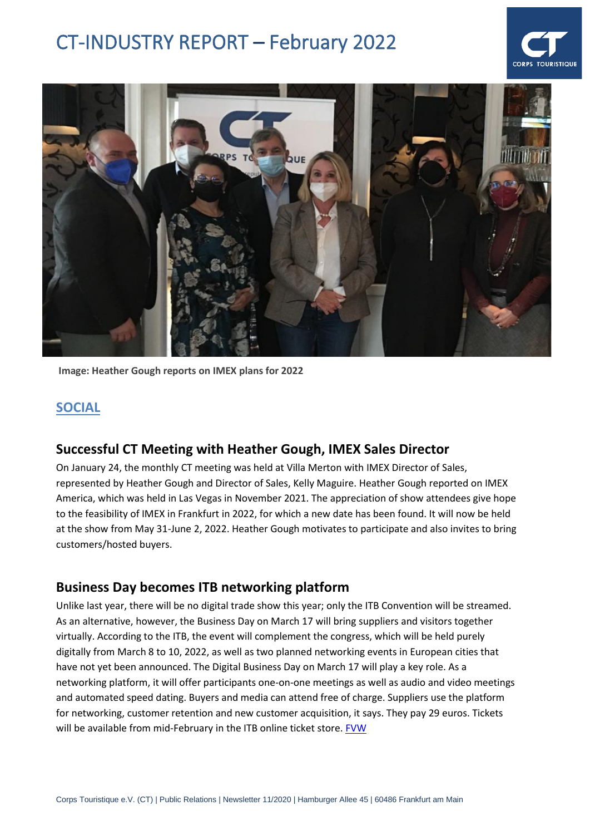



**Image: Heather Gough reports on IMEX plans for 2022**

### **SOCIAL**

#### **Successful CT Meeting with Heather Gough, IMEX Sales Director**

On January 24, the monthly CT meeting was held at Villa Merton with IMEX Director of Sales, represented by Heather Gough and Director of Sales, Kelly Maguire. Heather Gough reported on IMEX America, which was held in Las Vegas in November 2021. The appreciation of show attendees give hope to the feasibility of IMEX in Frankfurt in 2022, for which a new date has been found. It will now be held at the show from May 31-June 2, 2022. Heather Gough motivates to participate and also invites to bring customers/hosted buyers.

#### **Business Day becomes ITB networking platform**

Unlike last year, there will be no digital trade show this year; only the ITB Convention will be streamed. As an alternative, however, the Business Day on March 17 will bring suppliers and visitors together virtually. According to the ITB, the event will complement the congress, which will be held purely digitally from March 8 to 10, 2022, as well as two planned networking events in European cities that have not yet been announced. The Digital Business Day on March 17 will play a key role. As a networking platform, it will offer participants one-on-one meetings as well as audio and video meetings and automated speed dating. Buyers and media can attend free of charge. Suppliers use the platform for networking, customer retention and new customer acquisition, it says. They pay 29 euros. Tickets will be available from mid-February in the ITB online ticket store. [FVW](https://www.fvw.de/touristik/itb/am-17.-maerz-2022-business-day-wird-itb-netzwerk-plattform-223719?utm_source=%2Fmeta%2Fnewsletter%2Ffvwammorgen&utm_medium=newsletter&utm_campaign=nl4274&utm_term=160de028eaacebc059bd8b03e3a9cc09)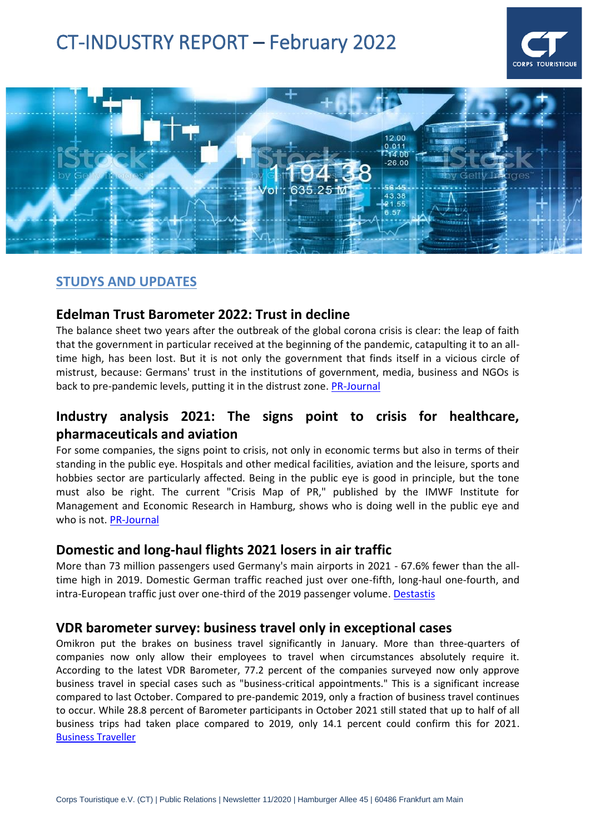



# **STUDYS AND UPDATES**

#### **Edelman Trust Barometer 2022: Trust in decline**

The balance sheet two years after the outbreak of the global corona crisis is clear: the leap of faith that the government in particular received at the beginning of the pandemic, catapulting it to an alltime high, has been lost. But it is not only the government that finds itself in a vicious circle of mistrust, because: Germans' trust in the institutions of government, media, business and NGOs is back to pre-pandemic levels, putting it in the distrust zone. [PR-Journal](https://pr-journal.de/index.php?option=com_content&view=article&id=28287:edelman-trust-barometer-2022-vertrauen-im-sinkflug&catid=380:studie&utm_source=CleverReach&utm_medium=email&utm_campaign=PRJ-NL+772+-+01.02.2022&utm_content=Mailing_14080401)

# **Industry analysis 2021: The signs point to crisis for healthcare, pharmaceuticals and aviation**

For some companies, the signs point to crisis, not only in economic terms but also in terms of their standing in the public eye. Hospitals and other medical facilities, aviation and the leisure, sports and hobbies sector are particularly affected. Being in the public eye is good in principle, but the tone must also be right. The current "Crisis Map of PR," published by the IMWF Institute for Management and Economic Research in Hamburg, shows who is doing well in the public eye and who is not. [PR-Journal](https://pr-journal.de/index.php?option=com_content&view=article&id=28248:branchenanalyse-2021-fuer-gesundheit-pharma-und-luftfahrt-stehen-die-zeichen-auf-krise&catid=380:studie&utm_source=CleverReach&utm_medium=email&utm_campaign=PRJ-NL+772+-+01.02.2022&utm_content=Mailing_14080401)

#### **Domestic and long-haul flights 2021 losers in air traffic**

More than 73 million passengers used Germany's main airports in 2021 - 67.6% fewer than the alltime high in 2019. Domestic German traffic reached just over one-fifth, long-haul one-fourth, and intra-European traffic just over one-third of the 2019 passenger volume. [Destastis](https://www.destatis.de/DE/Presse/Pressemitteilungen/2022/01/PD22_041_464.html)

#### **VDR barometer survey: business travel only in exceptional cases**

Omikron put the brakes on business travel significantly in January. More than three-quarters of companies now only allow their employees to travel when circumstances absolutely require it. According to the latest VDR Barometer, 77.2 percent of the companies surveyed now only approve business travel in special cases such as "business-critical appointments." This is a significant increase compared to last October. Compared to pre-pandemic 2019, only a fraction of business travel continues to occur. While 28.8 percent of Barometer participants in October 2021 still stated that up to half of all business trips had taken place compared to 2019, only 14.1 percent could confirm this for 2021. [Business Traveller](https://www.businesstraveller.de/news/vdr-barometerumfrage-geschaeftsreisen-nur-noch-in-ausnahmenfaellen/)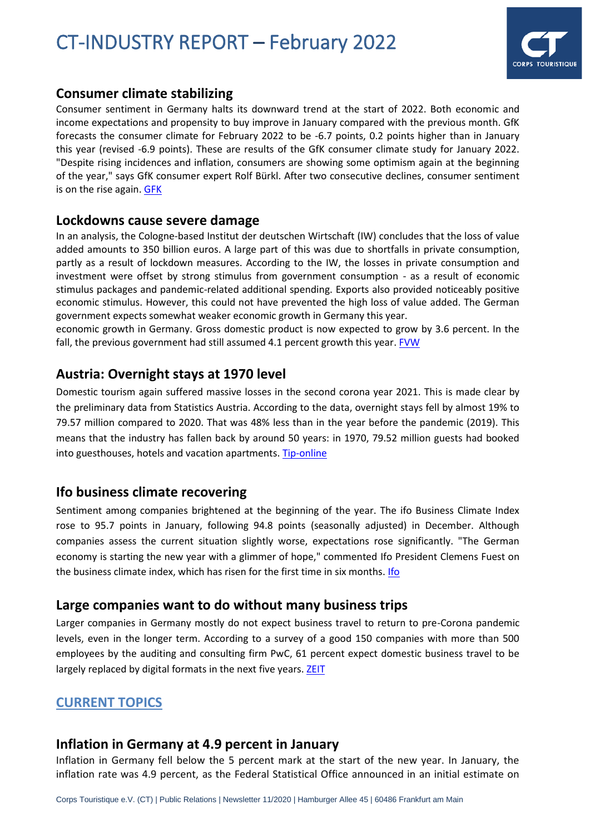

#### **Consumer climate stabilizing**

Consumer sentiment in Germany halts its downward trend at the start of 2022. Both economic and income expectations and propensity to buy improve in January compared with the previous month. GfK forecasts the consumer climate for February 2022 to be -6.7 points, 0.2 points higher than in January this year (revised -6.9 points). These are results of the GfK consumer climate study for January 2022. "Despite rising incidences and inflation, consumers are showing some optimism again at the beginning of the year," says GfK consumer expert Rolf Bürkl. After two consecutive declines, consumer sentiment is on the rise again. [GFK](https://www.gfk.com/de/presse/Konsumklima-Januar-2022-stabilisiert-sich)

#### **Lockdowns cause severe damage**

In an analysis, the Cologne-based Institut der deutschen Wirtschaft (IW) concludes that the loss of value added amounts to 350 billion euros. A large part of this was due to shortfalls in private consumption, partly as a result of lockdown measures. According to the IW, the losses in private consumption and investment were offset by strong stimulus from government consumption - as a result of economic stimulus packages and pandemic-related additional spending. Exports also provided noticeably positive economic stimulus. However, this could not have prevented the high loss of value added. The German government expects somewhat weaker economic growth in Germany this year.

economic growth in Germany. Gross domestic product is now expected to grow by 3.6 percent. In the fall, the previous government had still assumed 4.1 percent growth this year[. FVW](https://www.fvw.de/touristik/destination/iw-studie-lockdowns-verursachen-schweren-wirtschaftlichen-schaden-223640?crefresh=1)

### **Austria: Overnight stays at 1970 level**

Domestic tourism again suffered massive losses in the second corona year 2021. This is made clear by the preliminary data from Statistics Austria. According to the data, overnight stays fell by almost 19% to 79.57 million compared to 2020. That was 48% less than in the year before the pandemic (2019). This means that the industry has fallen back by around 50 years: in 1970, 79.52 million guests had booked into guesthouses, hotels and vacation apartments. [Tip-online](https://www.tip-online.at/news/48872/oesterreich-naechtigungen-auf-niveau-von-1970/?utm_source=newsletter&utm_medium=email&utm_campaign=tip-daily_26.01.2022)

#### **Ifo business climate recovering**

Sentiment among companies brightened at the beginning of the year. The ifo Business Climate Index rose to 95.7 points in January, following 94.8 points (seasonally adjusted) in December. Although companies assess the current situation slightly worse, expectations rose significantly. "The German economy is starting the new year with a glimmer of hope," commented Ifo President Clemens Fuest on the business climate index, which has risen for the first time in six months[. Ifo](https://www.ifo.de/node/67662)

#### **Large companies want to do without many business trips**

Larger companies in Germany mostly do not expect business travel to return to pre-Corona pandemic levels, even in the longer term. According to a survey of a good 150 companies with more than 500 employees by the auditing and consulting firm PwC, 61 percent expect domestic business travel to be largely replaced by digital formats in the next five years. [ZEIT](https://www.zeit.de/news/2022-01/24/viele-dienstreisen-duerften-weiter-digital-ersetzt-werden)

#### **CURRENT TOPICS**

#### **Inflation in Germany at 4.9 percent in January**

Inflation in Germany fell below the 5 percent mark at the start of the new year. In January, the inflation rate was 4.9 percent, as the Federal Statistical Office announced in an initial estimate on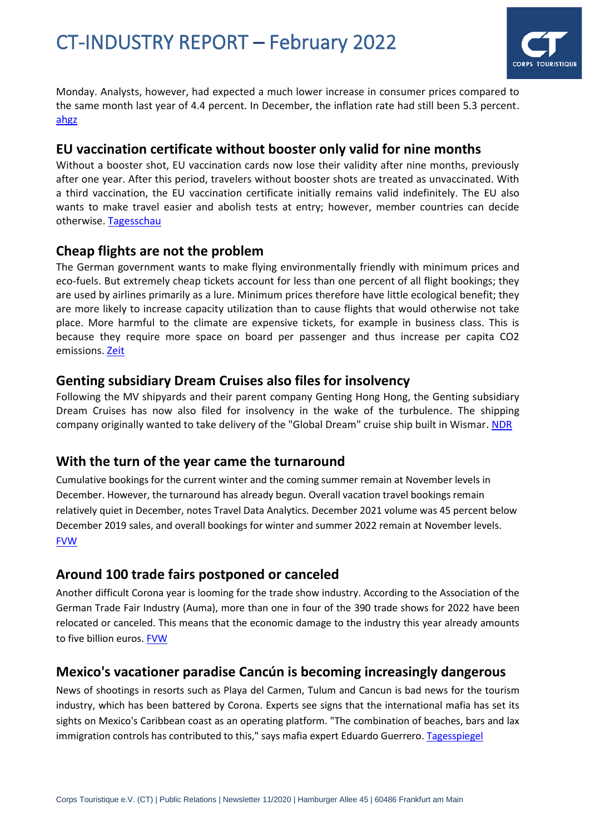

Monday. Analysts, however, had expected a much lower increase in consumer prices compared to the same month last year of 4.4 percent. In December, the inflation rate had still been 5.3 percent. [ahgz](https://www.ahgz.de/hotellerie/news/preissteigerung-inflation-in-deutschland-im-januar-bei-49-prozent-304592?utm_source=%2Fmeta%2Fnewsletter%2Fam-morgen&utm_medium=newsletter&utm_campaign=nl1393&utm_term=998099f45de9900198988f8b9fc5239e)

#### **EU vaccination certificate without booster only valid for nine months**

Without a booster shot, EU vaccination cards now lose their validity after nine months, previously after one year. After this period, travelers without booster shots are treated as unvaccinated. With a third vaccination, the EU vaccination certificate initially remains valid indefinitely. The EU also wants to make travel easier and abolish tests at entry; however, member countries can decide otherwise. [Tagesschau](https://www.tagesschau.de/ausland/europa/impfnachweis-eu-neun-monate-101.html)

#### **Cheap flights are not the problem**

The German government wants to make flying environmentally friendly with minimum prices and eco-fuels. But extremely cheap tickets account for less than one percent of all flight bookings; they are used by airlines primarily as a lure. Minimum prices therefore have little ecological benefit; they are more likely to increase capacity utilization than to cause flights that would otherwise not take place. More harmful to the climate are expensive tickets, for example in business class. This is because they require more space on board per passenger and thus increase per capita CO2 emissions. [Zeit](https://www.zeit.de/mobilitaet/2022-01/billigfluege-klimaschutz-flugverkehr-klimabilanz-bundesregierung)

#### **Genting subsidiary Dream Cruises also files for insolvency**

Following the MV shipyards and their parent company Genting Hong Hong, the Genting subsidiary Dream Cruises has now also filed for insolvency in the wake of the turbulence. The shipping company originally wanted to take delivery of the "Global Dream" cruise ship built in Wismar. [NDR](https://www.ndr.de/nachrichten/mecklenburg-vorpommern/Auch-Genting-Tochter-Dream-Cruises-stellt-Insolvenzantrag,mvwerften488.html)

#### **With the turn of the year came the turnaround**

Cumulative bookings for the current winter and the coming summer remain at November levels in December. However, the turnaround has already begun. Overall vacation travel bookings remain relatively quiet in December, notes Travel Data Analytics. December 2021 volume was 45 percent below December 2019 sales, and overall bookings for winter and summer 2022 remain at November levels. [FVW](https://www.fvw.de/touristik/datenanalyse/tda-analyse-dezember-mit-dem-jahreswechsel-kam-die-trendwende-223766?utm_source=%2Fmeta%2Fnewsletter%2Fcounterammittag&utm_medium=newsletter&utm_campaign=nl4286&utm_term=984f4a0b1f80072f8710e3b9f7bb3931)

#### **Around 100 trade fairs postponed or canceled**

Another difficult Corona year is looming for the trade show industry. According to the Association of the German Trade Fair Industry (Auma), more than one in four of the 390 trade shows for 2022 have been relocated or canceled. This means that the economic damage to the industry this year already amounts to five billion euros. [FVW](https://www.fvw.de/businesstravel/mice/jedes-4.-event-gut-100-messen-verschoben-oder-gestrichen-223707?utm_source=%2Fmeta%2Fnewsletter%2Fbiztravelnews&utm_medium=newsletter&utm_campaign=nl4273&utm_term=160de028eaacebc059bd8b03e3a9cc09)

# **Mexico's vacationer paradise Cancún is becoming increasingly dangerous**

News of shootings in resorts such as Playa del Carmen, Tulum and Cancun is bad news for the tourism industry, which has been battered by Corona. Experts see signs that the international mafia has set its sights on Mexico's Caribbean coast as an operating platform. "The combination of beaches, bars and lax immigration controls has contributed to this," says mafia expert Eduardo Guerrero[. Tagesspiegel](https://www.tagesspiegel.de/gesellschaft/panorama/schiessereien-in-hotels-mexikos-urlauberparadies-cancn-wird-immer-gefaehrlicher/28010706.html)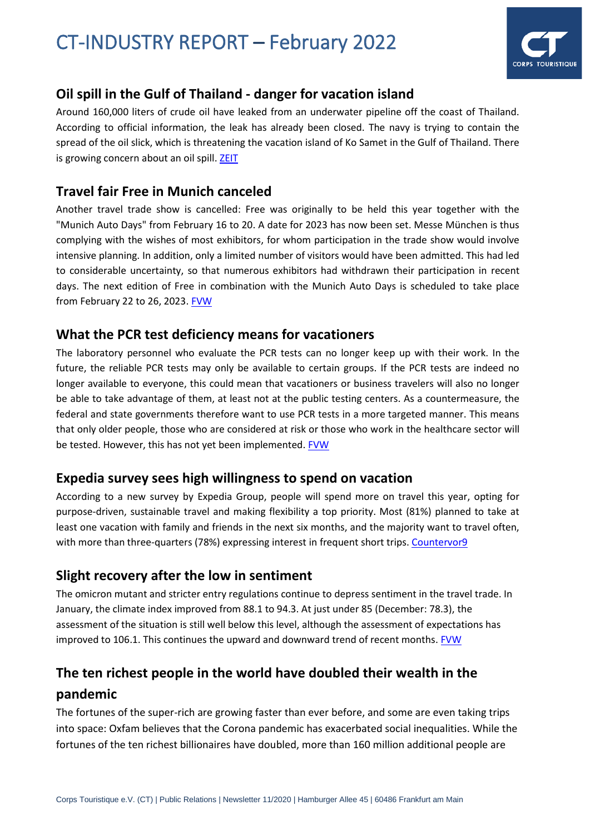

# **Oil spill in the Gulf of Thailand - danger for vacation island**

Around 160,000 liters of crude oil have leaked from an underwater pipeline off the coast of Thailand. According to official information, the leak has already been closed. The navy is trying to contain the spread of the oil slick, which is threatening the vacation island of Ko Samet in the Gulf of Thailand. There is growing concern about an oil spill[. ZEIT](https://www.zeit.de/news/2022-01/27/oelteppich-im-golf-von-thailand-gefahr-fuer-urlaubsinsel)

### **Travel fair Free in Munich canceled**

Another travel trade show is cancelled: Free was originally to be held this year together with the "Munich Auto Days" from February 16 to 20. A date for 2023 has now been set. Messe München is thus complying with the wishes of most exhibitors, for whom participation in the trade show would involve intensive planning. In addition, only a limited number of visitors would have been admitted. This had led to considerable uncertainty, so that numerous exhibitors had withdrawn their participation in recent days. The next edition of Free in combination with the Munich Auto Days is scheduled to take place from February 22 to 26, 2023. [FVW](https://www.fvw.de/touristik/destination/wiederauflage-2023-reisemesse-free-in-muenchen-ist-abgesagt-223733?utm_source=%2Fmeta%2Fnewsletter%2Ffvwamnachmittag&utm_medium=newsletter&utm_campaign=nl4278&utm_term=160de028eaacebc059bd8b03e3a9cc09)

### **What the PCR test deficiency means for vacationers**

The laboratory personnel who evaluate the PCR tests can no longer keep up with their work. In the future, the reliable PCR tests may only be available to certain groups. If the PCR tests are indeed no longer available to everyone, this could mean that vacationers or business travelers will also no longer be able to take advantage of them, at least not at the public testing centers. As a countermeasure, the federal and state governments therefore want to use PCR tests in a more targeted manner. This means that only older people, those who are considered at risk or those who work in the healthcare sector will be tested. However, this has not yet been implemented. [FVW](https://www.fvw.de/touristik/destination/ssss-was-der-pcr-test-mangel-fuer-urlauber-bedeutet-223717?utm_source=%2Fmeta%2Fnewsletter%2Ffvwamnachmittag&utm_medium=newsletter&utm_campaign=nl4272&utm_term=160de028eaacebc059bd8b03e3a9cc09)

# **Expedia survey sees high willingness to spend on vacation**

According to a new survey by Expedia Group, people will spend more on travel this year, opting for purpose-driven, sustainable travel and making flexibility a top priority. Most (81%) planned to take at least one vacation with family and friends in the next six months, and the majority want to travel often, with more than three-quarters (78%) expressing interest in frequent short trips[. Countervor9](https://www.countervor9.de/trends/expedia-umfrage-sieht-hohe-ausgabebereitschaft-fuer-urlaub)

#### **Slight recovery after the low in sentiment**

The omicron mutant and stricter entry regulations continue to depress sentiment in the travel trade. In January, the climate index improved from 88.1 to 94.3. At just under 85 (December: 78.3), the assessment of the situation is still well below this level, although the assessment of expectations has improved to 106.1. This continues the upward and downward trend of recent months[. FVW](https://www.fvw.de/counter/verkauf/fvwtraveltalk-vertriebsklima-leichte-erholung-nach-dem-stimmungstief-223489?utm_source=%2Fmeta%2Fnewsletter%2Fcounterammittag&utm_medium=newsletter&utm_campaign=nl4240&utm_term=f67b0ff0182c766cd849d3dc1e2b87ec)

# **The ten richest people in the world have doubled their wealth in the**

#### **pandemic**

The fortunes of the super-rich are growing faster than ever before, and some are even taking trips into space: Oxfam believes that the Corona pandemic has exacerbated social inequalities. While the fortunes of the ten richest billionaires have doubled, more than 160 million additional people are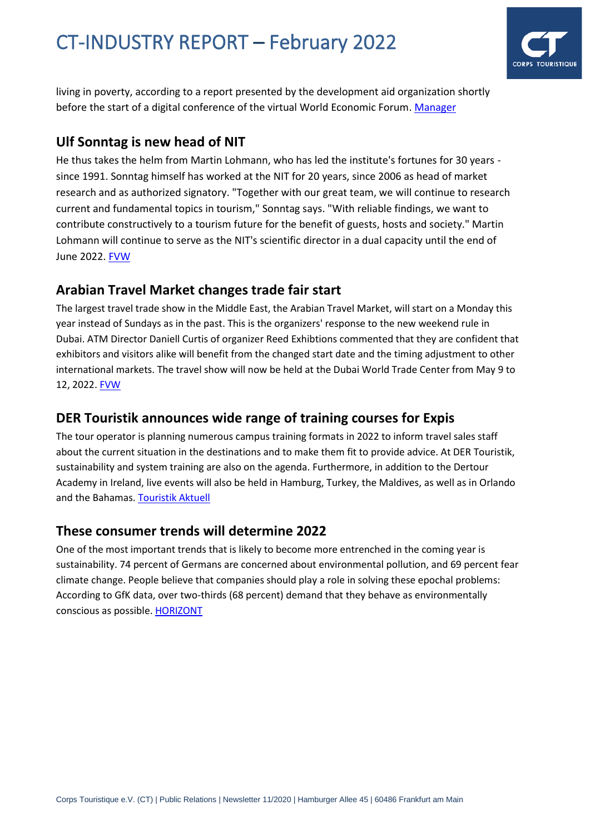

living in poverty, according to a report presented by the development aid organization shortly before the start of a digital conference of the virtual World Economic Forum. [Manager](https://www.manager-magazin.de/politik/weltwirtschaft/oxfam-bericht-die-zehn-reichsten-menschen-der-welt-haben-ihr-vermoegen-in-der-pandemie-verdoppelt-a-0505f54f-0b49-480a-aae5-5dd553a02212??sara_ecid=nl_upd_v1RmNA6KefdrNuSn5Q7RQq7VZvodaS&nlid=nqin0urn)

### **Ulf Sonntag is new head of NIT**

He thus takes the helm from Martin Lohmann, who has led the institute's fortunes for 30 years since 1991. Sonntag himself has worked at the NIT for 20 years, since 2006 as head of market research and as authorized signatory. "Together with our great team, we will continue to research current and fundamental topics in tourism," Sonntag says. "With reliable findings, we want to contribute constructively to a tourism future for the benefit of guests, hosts and society." Martin Lohmann will continue to serve as the NIT's scientific director in a dual capacity until the end of June 2022[. FVW](https://www.fvw.de/touristik/personalien/fur-reiseanalyse-ulf-sonntag-ist-neuer-chef-des-nit-223474?utm_source=%2Fmeta%2Fnewsletter%2Ffvwamnachmittag&utm_medium=newsletter&utm_campaign=nl4236&utm_term=984f4a0b1f80072f8710e3b9f7bb3931)

# **Arabian Travel Market changes trade fair start**

The largest travel trade show in the Middle East, the Arabian Travel Market, will start on a Monday this year instead of Sundays as in the past. This is the organizers' response to the new weekend rule in Dubai. ATM Director Daniell Curtis of organizer Reed Exhibtions commented that they are confident that exhibitors and visitors alike will benefit from the changed start date and the timing adjustment to other international markets. The travel show will now be held at the Dubai World Trade Center from May 9 to 12, 2022[. FVW](https://www.fvw.de/touristik/destination/montag-statt-sonntag-arabian-travel-market-aendert-messestart-223460?utm_source=%2Fmeta%2Fnewsletter%2Ffvwammorgen&utm_medium=newsletter&utm_campaign=nl4234&utm_term=160de028eaacebc059bd8b03e3a9cc09)

# **DER Touristik announces wide range of training courses for Expis**

The tour operator is planning numerous campus training formats in 2022 to inform travel sales staff about the current situation in the destinations and to make them fit to provide advice. At DER Touristik, sustainability and system training are also on the agenda. Furthermore, in addition to the Dertour Academy in Ireland, live events will also be held in Hamburg, Turkey, the Maldives, as well as in Orlando and the Bahamas. [Touristik Aktuell](https://www.touristik-aktuell.de/nachrichten/veranstalter/news/datum/2022/01/13/der-touristik-webinare-und-live-events/)

# **These consumer trends will determine 2022**

One of the most important trends that is likely to become more entrenched in the coming year is sustainability. 74 percent of Germans are concerned about environmental pollution, and 69 percent fear climate change. People believe that companies should play a role in solving these epochal problems: According to GfK data, over two-thirds (68 percent) demand that they behave as environmentally conscious as possible[. HORIZONT](https://www.horizont.net/marketing/nachrichten/gfk-prognose-diese-konsumtrends-werden-2022-bestimmen-196743?utm_source=%2Fmeta%2Fnewsflash%2Fvor9&utm_medium=newsletter&utm_campaign=nl45994&utm_term=bf0968c5e9c318fe21d1659a15c119b8)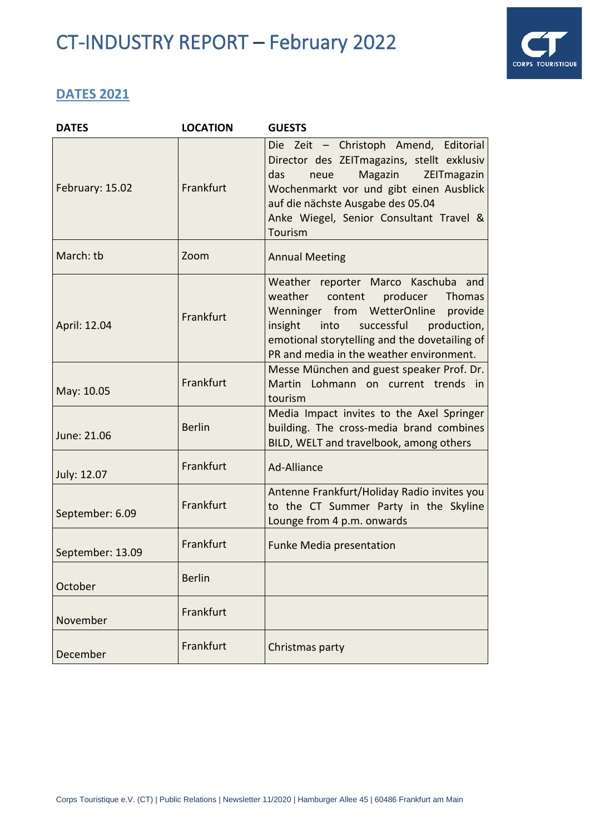

# **DATES 2021**

| <b>DATES</b>     | <b>LOCATION</b> | <b>GUESTS</b>                                                                                                                                                                                                                                                      |
|------------------|-----------------|--------------------------------------------------------------------------------------------------------------------------------------------------------------------------------------------------------------------------------------------------------------------|
| February: 15.02  | Frankfurt       | Die Zeit - Christoph Amend, Editorial<br>Director des ZEITmagazins, stellt exklusiv<br>Magazin<br>das<br>ZEITmagazin<br>neue<br>Wochenmarkt vor und gibt einen Ausblick<br>auf die nächste Ausgabe des 05.04<br>Anke Wiegel, Senior Consultant Travel &<br>Tourism |
| March: tb        | Zoom            | <b>Annual Meeting</b>                                                                                                                                                                                                                                              |
| April: 12.04     | Frankfurt       | Weather reporter Marco Kaschuba and<br>weather content<br>producer<br>Thomas<br>Wenninger from WetterOnline provide<br>insight<br>into<br>successful<br>production,<br>emotional storytelling and the dovetailing of<br>PR and media in the weather environment.   |
| May: 10.05       | Frankfurt       | Messe München and guest speaker Prof. Dr.<br>Martin Lohmann on current trends in<br>tourism                                                                                                                                                                        |
| June: 21.06      | <b>Berlin</b>   | Media Impact invites to the Axel Springer<br>building. The cross-media brand combines<br>BILD, WELT and travelbook, among others                                                                                                                                   |
| July: 12.07      | Frankfurt       | Ad-Alliance                                                                                                                                                                                                                                                        |
| September: 6.09  | Frankfurt       | Antenne Frankfurt/Holiday Radio invites you<br>to the CT Summer Party in the Skyline<br>Lounge from 4 p.m. onwards                                                                                                                                                 |
| September: 13.09 | Frankfurt       | <b>Funke Media presentation</b>                                                                                                                                                                                                                                    |
| October          | <b>Berlin</b>   |                                                                                                                                                                                                                                                                    |
| November         | Frankfurt       |                                                                                                                                                                                                                                                                    |
| December         | Frankfurt       | Christmas party                                                                                                                                                                                                                                                    |